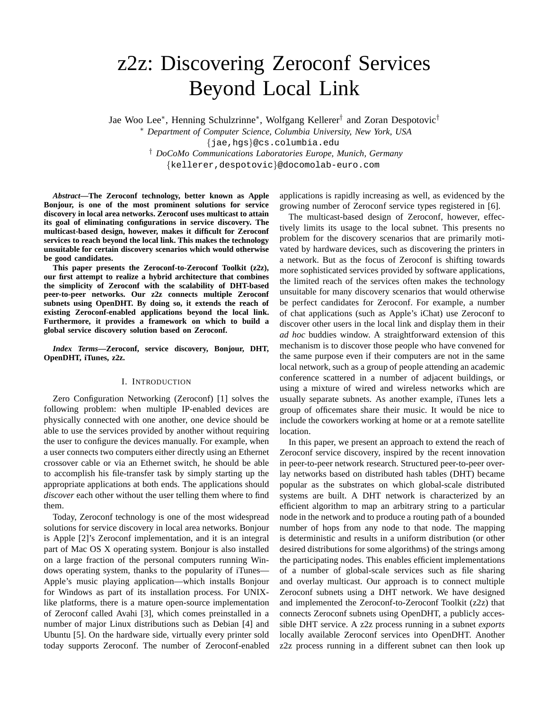# z2z: Discovering Zeroconf Services Beyond Local Link

Jae Woo Lee<sup>∗</sup> , Henning Schulzrinne<sup>∗</sup> , Wolfgang Kellerer† and Zoran Despotovic†

<sup>∗</sup> *Department of Computer Science, Columbia University, New York, USA* {jae,hgs}@cs.columbia.edu † *DoCoMo Communications Laboratories Europe, Munich, Germany* {kellerer,despotovic}@docomolab-euro.com

*Abstract***—The Zeroconf technology, better known as Apple Bonjour, is one of the most prominent solutions for service discovery in local area networks. Zeroconf uses multicast to attain its goal of eliminating configurations in service discovery. The multicast-based design, however, makes it difficult for Zeroconf services to reach beyond the local link. This makes the technology unsuitable for certain discovery scenarios which would otherwise be good candidates.**

**This paper presents the Zeroconf-to-Zeroconf Toolkit (z2z), our first attempt to realize a hybrid architecture that combines the simplicity of Zeroconf with the scalability of DHT-based peer-to-peer networks. Our z2z connects multiple Zeroconf subnets using OpenDHT. By doing so, it extends the reach of existing Zeroconf-enabled applications beyond the local link. Furthermore, it provides a framework on which to build a global service discovery solution based on Zeroconf.**

*Index Terms***—Zeroconf, service discovery, Bonjour, DHT, OpenDHT, iTunes, z2z.**

#### I. INTRODUCTION

Zero Configuration Networking (Zeroconf) [1] solves the following problem: when multiple IP-enabled devices are physically connected with one another, one device should be able to use the services provided by another without requiring the user to configure the devices manually. For example, when a user connects two computers either directly using an Ethernet crossover cable or via an Ethernet switch, he should be able to accomplish his file-transfer task by simply starting up the appropriate applications at both ends. The applications should *discover* each other without the user telling them where to find them.

Today, Zeroconf technology is one of the most widespread solutions for service discovery in local area networks. Bonjour is Apple [2]'s Zeroconf implementation, and it is an integral part of Mac OS X operating system. Bonjour is also installed on a large fraction of the personal computers running Windows operating system, thanks to the popularity of iTunes— Apple's music playing application—which installs Bonjour for Windows as part of its installation process. For UNIXlike platforms, there is a mature open-source implementation of Zeroconf called Avahi [3], which comes preinstalled in a number of major Linux distributions such as Debian [4] and Ubuntu [5]. On the hardware side, virtually every printer sold today supports Zeroconf. The number of Zeroconf-enabled applications is rapidly increasing as well, as evidenced by the growing number of Zeroconf service types registered in [6].

The multicast-based design of Zeroconf, however, effectively limits its usage to the local subnet. This presents no problem for the discovery scenarios that are primarily motivated by hardware devices, such as discovering the printers in a network. But as the focus of Zeroconf is shifting towards more sophisticated services provided by software applications, the limited reach of the services often makes the technology unsuitable for many discovery scenarios that would otherwise be perfect candidates for Zeroconf. For example, a number of chat applications (such as Apple's iChat) use Zeroconf to discover other users in the local link and display them in their *ad hoc* buddies window. A straightforward extension of this mechanism is to discover those people who have convened for the same purpose even if their computers are not in the same local network, such as a group of people attending an academic conference scattered in a number of adjacent buildings, or using a mixture of wired and wireless networks which are usually separate subnets. As another example, iTunes lets a group of officemates share their music. It would be nice to include the coworkers working at home or at a remote satellite location.

In this paper, we present an approach to extend the reach of Zeroconf service discovery, inspired by the recent innovation in peer-to-peer network research. Structured peer-to-peer overlay networks based on distributed hash tables (DHT) became popular as the substrates on which global-scale distributed systems are built. A DHT network is characterized by an efficient algorithm to map an arbitrary string to a particular node in the network and to produce a routing path of a bounded number of hops from any node to that node. The mapping is deterministic and results in a uniform distribution (or other desired distributions for some algorithms) of the strings among the participating nodes. This enables efficient implementations of a number of global-scale services such as file sharing and overlay multicast. Our approach is to connect multiple Zeroconf subnets using a DHT network. We have designed and implemented the Zeroconf-to-Zeroconf Toolkit (z2z) that connects Zeroconf subnets using OpenDHT, a publicly accessible DHT service. A z2z process running in a subnet *exports* locally available Zeroconf services into OpenDHT. Another z2z process running in a different subnet can then look up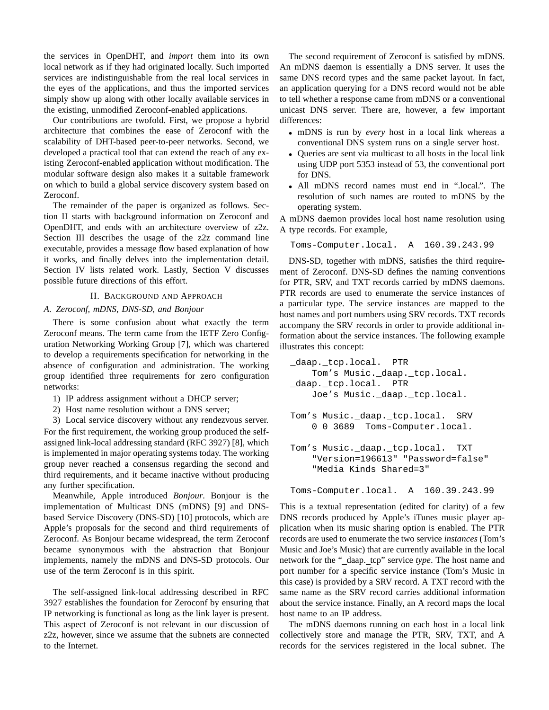the services in OpenDHT, and *import* them into its own local network as if they had originated locally. Such imported services are indistinguishable from the real local services in the eyes of the applications, and thus the imported services simply show up along with other locally available services in the existing, unmodified Zeroconf-enabled applications.

Our contributions are twofold. First, we propose a hybrid architecture that combines the ease of Zeroconf with the scalability of DHT-based peer-to-peer networks. Second, we developed a practical tool that can extend the reach of any existing Zeroconf-enabled application without modification. The modular software design also makes it a suitable framework on which to build a global service discovery system based on Zeroconf.

The remainder of the paper is organized as follows. Section II starts with background information on Zeroconf and OpenDHT, and ends with an architecture overview of z2z. Section III describes the usage of the z2z command line executable, provides a message flow based explanation of how it works, and finally delves into the implementation detail. Section IV lists related work. Lastly, Section V discusses possible future directions of this effort.

# II. BACKGROUND AND APPROACH

# *A. Zeroconf, mDNS, DNS-SD, and Bonjour*

There is some confusion about what exactly the term Zeroconf means. The term came from the IETF Zero Configuration Networking Working Group [7], which was chartered to develop a requirements specification for networking in the absence of configuration and administration. The working group identified three requirements for zero configuration networks:

- 1) IP address assignment without a DHCP server;
- 2) Host name resolution without a DNS server;

3) Local service discovery without any rendezvous server. For the first requirement, the working group produced the selfassigned link-local addressing standard (RFC 3927) [8], which is implemented in major operating systems today. The working group never reached a consensus regarding the second and third requirements, and it became inactive without producing any further specification.

Meanwhile, Apple introduced *Bonjour*. Bonjour is the implementation of Multicast DNS (mDNS) [9] and DNSbased Service Discovery (DNS-SD) [10] protocols, which are Apple's proposals for the second and third requirements of Zeroconf. As Bonjour became widespread, the term Zeroconf became synonymous with the abstraction that Bonjour implements, namely the mDNS and DNS-SD protocols. Our use of the term Zeroconf is in this spirit.

The self-assigned link-local addressing described in RFC 3927 establishes the foundation for Zeroconf by ensuring that IP networking is functional as long as the link layer is present. This aspect of Zeroconf is not relevant in our discussion of z2z, however, since we assume that the subnets are connected to the Internet.

The second requirement of Zeroconf is satisfied by mDNS. An mDNS daemon is essentially a DNS server. It uses the same DNS record types and the same packet layout. In fact, an application querying for a DNS record would not be able to tell whether a response came from mDNS or a conventional unicast DNS server. There are, however, a few important differences:

- mDNS is run by *every* host in a local link whereas a conventional DNS system runs on a single server host.
- Queries are sent via multicast to all hosts in the local link using UDP port 5353 instead of 53, the conventional port for DNS.
- All mDNS record names must end in ".local.". The resolution of such names are routed to mDNS by the operating system.

A mDNS daemon provides local host name resolution using A type records. For example,

```
Toms-Computer.local. A 160.39.243.99
```
DNS-SD, together with mDNS, satisfies the third requirement of Zeroconf. DNS-SD defines the naming conventions for PTR, SRV, and TXT records carried by mDNS daemons. PTR records are used to enumerate the service instances of a particular type. The service instances are mapped to the host names and port numbers using SRV records. TXT records accompany the SRV records in order to provide additional information about the service instances. The following example illustrates this concept:

```
_daap._tcp.local. PTR
   Tom's Music._daap._tcp.local.
_daap._tcp.local. PTR
   Joe's Music._daap._tcp.local.
Tom's Music._daap._tcp.local. SRV
    0 0 3689 Toms-Computer.local.
Tom's Music._daap._tcp.local. TXT
    "Version=196613" "Password=false"
    "Media Kinds Shared=3"
```
Toms-Computer.local. A 160.39.243.99

This is a textual representation (edited for clarity) of a few DNS records produced by Apple's iTunes music player application when its music sharing option is enabled. The PTR records are used to enumerate the two service *instances* (Tom's Music and Joe's Music) that are currently available in the local network for the "\_daap.\_tcp" service *type*. The host name and port number for a specific service instance (Tom's Music in this case) is provided by a SRV record. A TXT record with the same name as the SRV record carries additional information about the service instance. Finally, an A record maps the local host name to an IP address.

The mDNS daemons running on each host in a local link collectively store and manage the PTR, SRV, TXT, and A records for the services registered in the local subnet. The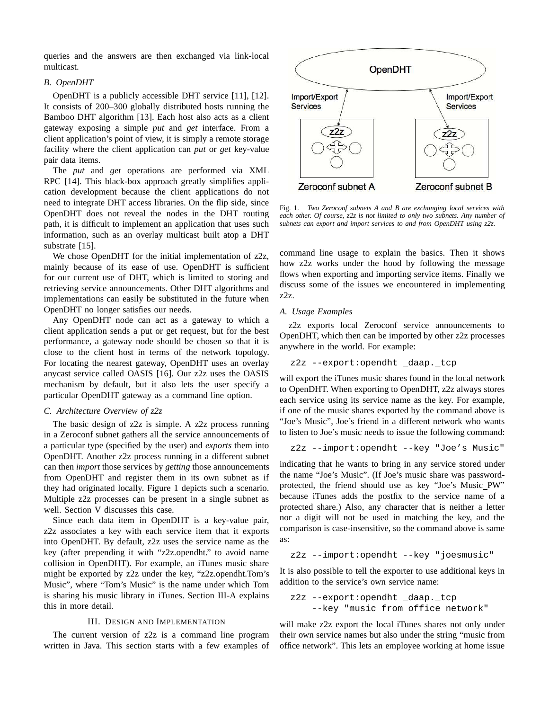queries and the answers are then exchanged via link-local multicast.

# *B. OpenDHT*

OpenDHT is a publicly accessible DHT service [11], [12]. It consists of 200–300 globally distributed hosts running the Bamboo DHT algorithm [13]. Each host also acts as a client gateway exposing a simple *put* and *get* interface. From a client application's point of view, it is simply a remote storage facility where the client application can *put* or *get* key-value pair data items.

The *put* and *get* operations are performed via XML RPC [14]. This black-box approach greatly simplifies application development because the client applications do not need to integrate DHT access libraries. On the flip side, since OpenDHT does not reveal the nodes in the DHT routing path, it is difficult to implement an application that uses such information, such as an overlay multicast built atop a DHT substrate [15].

We chose OpenDHT for the initial implementation of z2z, mainly because of its ease of use. OpenDHT is sufficient for our current use of DHT, which is limited to storing and retrieving service announcements. Other DHT algorithms and implementations can easily be substituted in the future when OpenDHT no longer satisfies our needs.

Any OpenDHT node can act as a gateway to which a client application sends a put or get request, but for the best performance, a gateway node should be chosen so that it is close to the client host in terms of the network topology. For locating the nearest gateway, OpenDHT uses an overlay anycast service called OASIS [16]. Our z2z uses the OASIS mechanism by default, but it also lets the user specify a particular OpenDHT gateway as a command line option.

# *C. Architecture Overview of z2z*

The basic design of z2z is simple. A z2z process running in a Zeroconf subnet gathers all the service announcements of a particular type (specified by the user) and *exports* them into OpenDHT. Another z2z process running in a different subnet can then *import* those services by *getting* those announcements from OpenDHT and register them in its own subnet as if they had originated locally. Figure 1 depicts such a scenario. Multiple z2z processes can be present in a single subnet as well. Section V discusses this case.

Since each data item in OpenDHT is a key-value pair, z2z associates a key with each service item that it exports into OpenDHT. By default, z2z uses the service name as the key (after prepending it with "z2z.opendht." to avoid name collision in OpenDHT). For example, an iTunes music share might be exported by z2z under the key, "z2z.opendht.Tom's Music", where "Tom's Music" is the name under which Tom is sharing his music library in iTunes. Section III-A explains this in more detail.

# III. DESIGN AND IMPLEMENTATION

The current version of z2z is a command line program written in Java. This section starts with a few examples of



Fig. 1. *Two Zeroconf subnets A and B are exchanging local services with each other. Of course, z2z is not limited to only two subnets. Any number of subnets can export and import services to and from OpenDHT using z2z.*

command line usage to explain the basics. Then it shows how z2z works under the hood by following the message flows when exporting and importing service items. Finally we discuss some of the issues we encountered in implementing z2z.

### *A. Usage Examples*

z2z exports local Zeroconf service announcements to OpenDHT, which then can be imported by other z2z processes anywhere in the world. For example:

```
z2z --export:opendht _daap._tcp
```
will export the iTunes music shares found in the local network to OpenDHT. When exporting to OpenDHT, z2z always stores each service using its service name as the key. For example, if one of the music shares exported by the command above is "Joe's Music", Joe's friend in a different network who wants to listen to Joe's music needs to issue the following command:

```
z2z --import:opendht --key "Joe's Music"
```
indicating that he wants to bring in any service stored under the name "Joe's Music". (If Joe's music share was passwordprotected, the friend should use as key "Joe's Music PW" because iTunes adds the postfix to the service name of a protected share.) Also, any character that is neither a letter nor a digit will not be used in matching the key, and the comparison is case-insensitive, so the command above is same as:

```
z2z --import:opendht --key "joesmusic"
```
It is also possible to tell the exporter to use additional keys in addition to the service's own service name:

```
z2z --export:opendht _daap._tcp
    --key "music from office network"
```
will make z2z export the local iTunes shares not only under their own service names but also under the string "music from office network". This lets an employee working at home issue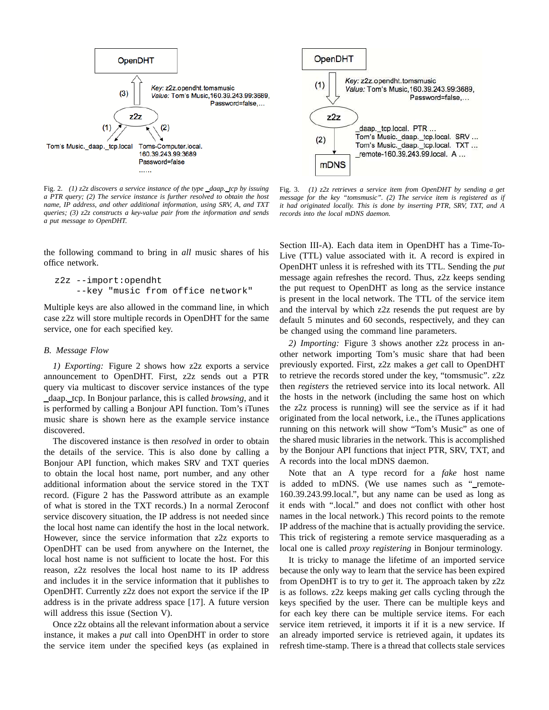

Fig. 2. *(1) z2z discovers a service instance of the type daap. tcp by issuing a PTR query; (2) The service instance is further resolved to obtain the host name, IP address, and other additional information, using SRV, A, and TXT queries; (3) z2z constructs a key-value pair from the information and sends a put message to OpenDHT.*

the following command to bring in *all* music shares of his office network.

```
z2z --import:opendht
    --key "music from office network"
```
Multiple keys are also allowed in the command line, in which case z2z will store multiple records in OpenDHT for the same service, one for each specified key.

### *B. Message Flow*

*1) Exporting:* Figure 2 shows how z2z exports a service announcement to OpenDHT. First, z2z sends out a PTR query via multicast to discover service instances of the type daap. tcp. In Bonjour parlance, this is called *browsing*, and it is performed by calling a Bonjour API function. Tom's iTunes music share is shown here as the example service instance discovered.

The discovered instance is then *resolved* in order to obtain the details of the service. This is also done by calling a Bonjour API function, which makes SRV and TXT queries to obtain the local host name, port number, and any other additional information about the service stored in the TXT record. (Figure 2 has the Password attribute as an example of what is stored in the TXT records.) In a normal Zeroconf service discovery situation, the IP address is not needed since the local host name can identify the host in the local network. However, since the service information that z2z exports to OpenDHT can be used from anywhere on the Internet, the local host name is not sufficient to locate the host. For this reason, z2z resolves the local host name to its IP address and includes it in the service information that it publishes to OpenDHT. Currently z2z does not export the service if the IP address is in the private address space [17]. A future version will address this issue (Section V).

Once z2z obtains all the relevant information about a service instance, it makes a *put* call into OpenDHT in order to store the service item under the specified keys (as explained in

Fig. 3. *(1) z2z retrieves a service item from OpenDHT by sending a get message for the key "tomsmusic". (2) The service item is registered as if it had originated locally. This is done by inserting PTR, SRV, TXT, and A records into the local mDNS daemon.*

Section III-A). Each data item in OpenDHT has a Time-To-Live (TTL) value associated with it. A record is expired in OpenDHT unless it is refreshed with its TTL. Sending the *put* message again refreshes the record. Thus, z2z keeps sending the put request to OpenDHT as long as the service instance is present in the local network. The TTL of the service item and the interval by which z2z resends the put request are by default 5 minutes and 60 seconds, respectively, and they can be changed using the command line parameters.

*2) Importing:* Figure 3 shows another z2z process in another network importing Tom's music share that had been previously exported. First, z2z makes a *get* call to OpenDHT to retrieve the records stored under the key, "tomsmusic". z2z then *registers* the retrieved service into its local network. All the hosts in the network (including the same host on which the z2z process is running) will see the service as if it had originated from the local network, i.e., the iTunes applications running on this network will show "Tom's Music" as one of the shared music libraries in the network. This is accomplished by the Bonjour API functions that inject PTR, SRV, TXT, and A records into the local mDNS daemon.

Note that an A type record for a *fake* host name is added to mDNS. (We use names such as "\_remote-160.39.243.99.local.", but any name can be used as long as it ends with ".local." and does not conflict with other host names in the local network.) This record points to the remote IP address of the machine that is actually providing the service. This trick of registering a remote service masquerading as a local one is called *proxy registering* in Bonjour terminology.

It is tricky to manage the lifetime of an imported service because the only way to learn that the service has been expired from OpenDHT is to try to *get* it. The approach taken by z2z is as follows. z2z keeps making *get* calls cycling through the keys specified by the user. There can be multiple keys and for each key there can be multiple service items. For each service item retrieved, it imports it if it is a new service. If an already imported service is retrieved again, it updates its refresh time-stamp. There is a thread that collects stale services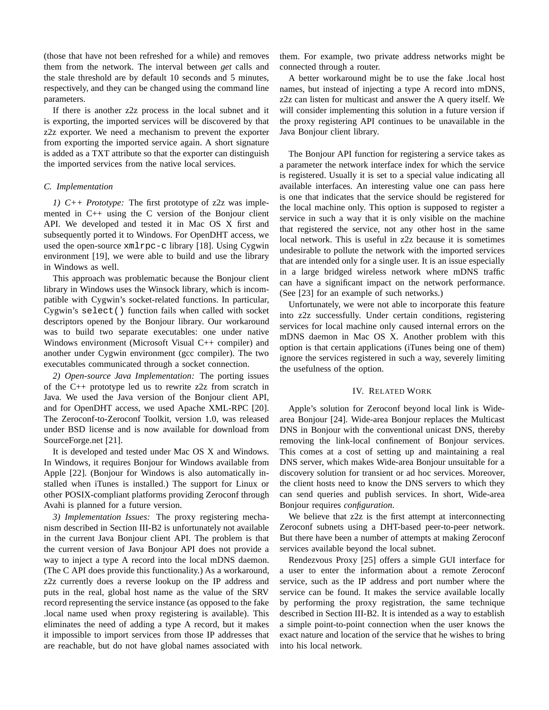(those that have not been refreshed for a while) and removes them from the network. The interval between *get* calls and the stale threshold are by default 10 seconds and 5 minutes, respectively, and they can be changed using the command line parameters.

If there is another z2z process in the local subnet and it is exporting, the imported services will be discovered by that z2z exporter. We need a mechanism to prevent the exporter from exporting the imported service again. A short signature is added as a TXT attribute so that the exporter can distinguish the imported services from the native local services.

#### *C. Implementation*

*1) C++ Prototype:* The first prototype of z2z was implemented in C++ using the C version of the Bonjour client API. We developed and tested it in Mac OS X first and subsequently ported it to Windows. For OpenDHT access, we used the open-source xmlrpc-c library [18]. Using Cygwin environment [19], we were able to build and use the library in Windows as well.

This approach was problematic because the Bonjour client library in Windows uses the Winsock library, which is incompatible with Cygwin's socket-related functions. In particular, Cygwin's select() function fails when called with socket descriptors opened by the Bonjour library. Our workaround was to build two separate executables: one under native Windows environment (Microsoft Visual C++ compiler) and another under Cygwin environment (gcc compiler). The two executables communicated through a socket connection.

*2) Open-source Java Implementation:* The porting issues of the C++ prototype led us to rewrite z2z from scratch in Java. We used the Java version of the Bonjour client API, and for OpenDHT access, we used Apache XML-RPC [20]. The Zeroconf-to-Zeroconf Toolkit, version 1.0, was released under BSD license and is now available for download from SourceForge.net [21].

It is developed and tested under Mac OS X and Windows. In Windows, it requires Bonjour for Windows available from Apple [22]. (Bonjour for Windows is also automatically installed when iTunes is installed.) The support for Linux or other POSIX-compliant platforms providing Zeroconf through Avahi is planned for a future version.

*3) Implementation Issues:* The proxy registering mechanism described in Section III-B2 is unfortunately not available in the current Java Bonjour client API. The problem is that the current version of Java Bonjour API does not provide a way to inject a type A record into the local mDNS daemon. (The C API does provide this functionality.) As a workaround, z2z currently does a reverse lookup on the IP address and puts in the real, global host name as the value of the SRV record representing the service instance (as opposed to the fake .local name used when proxy registering is available). This eliminates the need of adding a type A record, but it makes it impossible to import services from those IP addresses that are reachable, but do not have global names associated with

them. For example, two private address networks might be connected through a router.

A better workaround might be to use the fake .local host names, but instead of injecting a type A record into mDNS, z2z can listen for multicast and answer the A query itself. We will consider implementing this solution in a future version if the proxy registering API continues to be unavailable in the Java Bonjour client library.

The Bonjour API function for registering a service takes as a parameter the network interface index for which the service is registered. Usually it is set to a special value indicating all available interfaces. An interesting value one can pass here is one that indicates that the service should be registered for the local machine only. This option is supposed to register a service in such a way that it is only visible on the machine that registered the service, not any other host in the same local network. This is useful in z2z because it is sometimes undesirable to pollute the network with the imported services that are intended only for a single user. It is an issue especially in a large bridged wireless network where mDNS traffic can have a significant impact on the network performance. (See [23] for an example of such networks.)

Unfortunately, we were not able to incorporate this feature into z2z successfully. Under certain conditions, registering services for local machine only caused internal errors on the mDNS daemon in Mac OS X. Another problem with this option is that certain applications (iTunes being one of them) ignore the services registered in such a way, severely limiting the usefulness of the option.

#### IV. RELATED WORK

Apple's solution for Zeroconf beyond local link is Widearea Bonjour [24]. Wide-area Bonjour replaces the Multicast DNS in Bonjour with the conventional unicast DNS, thereby removing the link-local confinement of Bonjour services. This comes at a cost of setting up and maintaining a real DNS server, which makes Wide-area Bonjour unsuitable for a discovery solution for transient or ad hoc services. Moreover, the client hosts need to know the DNS servers to which they can send queries and publish services. In short, Wide-area Bonjour requires *configuration*.

We believe that z2z is the first attempt at interconnecting Zeroconf subnets using a DHT-based peer-to-peer network. But there have been a number of attempts at making Zeroconf services available beyond the local subnet.

Rendezvous Proxy [25] offers a simple GUI interface for a user to enter the information about a remote Zeroconf service, such as the IP address and port number where the service can be found. It makes the service available locally by performing the proxy registration, the same technique described in Section III-B2. It is intended as a way to establish a simple point-to-point connection when the user knows the exact nature and location of the service that he wishes to bring into his local network.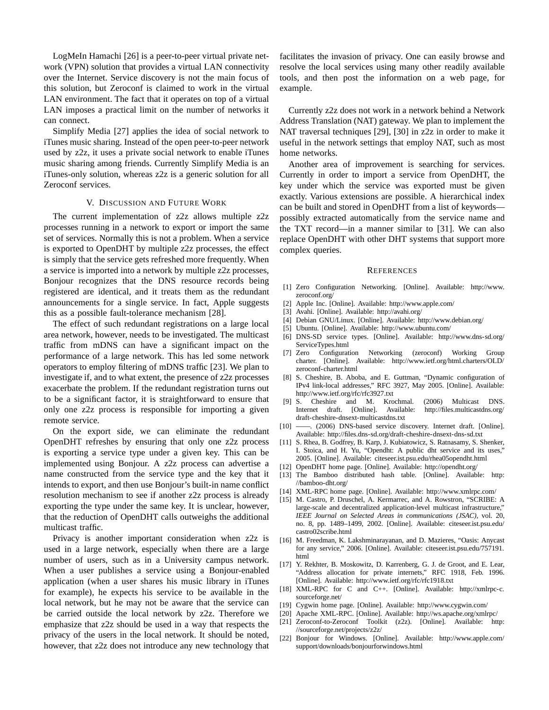LogMeIn Hamachi [26] is a peer-to-peer virtual private network (VPN) solution that provides a virtual LAN connectivity over the Internet. Service discovery is not the main focus of this solution, but Zeroconf is claimed to work in the virtual LAN environment. The fact that it operates on top of a virtual LAN imposes a practical limit on the number of networks it can connect.

Simplify Media [27] applies the idea of social network to iTunes music sharing. Instead of the open peer-to-peer network used by z2z, it uses a private social network to enable iTunes music sharing among friends. Currently Simplify Media is an iTunes-only solution, whereas z2z is a generic solution for all Zeroconf services.

# V. DISCUSSION AND FUTURE WORK

The current implementation of z2z allows multiple z2z processes running in a network to export or import the same set of services. Normally this is not a problem. When a service is exported to OpenDHT by multiple z2z processes, the effect is simply that the service gets refreshed more frequently. When a service is imported into a network by multiple z2z processes, Bonjour recognizes that the DNS resource records being registered are identical, and it treats them as the redundant announcements for a single service. In fact, Apple suggests this as a possible fault-tolerance mechanism [28].

The effect of such redundant registrations on a large local area network, however, needs to be investigated. The multicast traffic from mDNS can have a significant impact on the performance of a large network. This has led some network operators to employ filtering of mDNS traffic [23]. We plan to investigate if, and to what extent, the presence of z2z processes exacerbate the problem. If the redundant registration turns out to be a significant factor, it is straightforward to ensure that only one z2z process is responsible for importing a given remote service.

On the export side, we can eliminate the redundant OpenDHT refreshes by ensuring that only one z2z process is exporting a service type under a given key. This can be implemented using Bonjour. A z2z process can advertise a name constructed from the service type and the key that it intends to export, and then use Bonjour's built-in name conflict resolution mechanism to see if another z2z process is already exporting the type under the same key. It is unclear, however, that the reduction of OpenDHT calls outweighs the additional multicast traffic.

Privacy is another important consideration when z2z is used in a large network, especially when there are a large number of users, such as in a University campus network. When a user publishes a service using a Bonjour-enabled application (when a user shares his music library in iTunes for example), he expects his service to be available in the local network, but he may not be aware that the service can be carried outside the local network by z2z. Therefore we emphasize that z2z should be used in a way that respects the privacy of the users in the local network. It should be noted, however, that z2z does not introduce any new technology that

facilitates the invasion of privacy. One can easily browse and resolve the local services using many other readily available tools, and then post the information on a web page, for example.

Currently z2z does not work in a network behind a Network Address Translation (NAT) gateway. We plan to implement the NAT traversal techniques [29], [30] in z2z in order to make it useful in the network settings that employ NAT, such as most home networks.

Another area of improvement is searching for services. Currently in order to import a service from OpenDHT, the key under which the service was exported must be given exactly. Various extensions are possible. A hierarchical index can be built and stored in OpenDHT from a list of keywords possibly extracted automatically from the service name and the TXT record—in a manner similar to [31]. We can also replace OpenDHT with other DHT systems that support more complex queries.

#### **REFERENCES**

- [1] Zero Configuration Networking. [Online]. Available: http://www. zeroconf.org/
- [2] Apple Inc. [Online]. Available: http://www.apple.com/
- [3] Avahi. [Online]. Available: http://avahi.org/
- [4] Debian GNU/Linux. [Online]. Available: http://www.debian.org/
- [5] Ubuntu. [Online]. Available: http://www.ubuntu.com/
- [6] DNS-SD service types. [Online]. Available: http://www.dns-sd.org/ ServiceTypes.html
- [7] Zero Configuration Networking (zeroconf) Working Group charter. [Online]. Available: http://www.ietf.org/html.charters/OLD/ zeroconf-charter.html
- [8] S. Cheshire, B. Aboba, and E. Guttman, "Dynamic configuration of IPv4 link-local addresses," RFC 3927, May 2005. [Online]. Available: http://www.ietf.org/rfc/rfc3927.txt
- [9] S. Cheshire and M. Krochmal. (2006) Multicast DNS. Internet draft. [Online]. Available: http://files.multicastdns.org/ draft-cheshire-dnsext-multicastdns.txt
- [10] ——. (2006) DNS-based service discovery. Internet draft. [Online]. Available: http://files.dns-sd.org/draft-cheshire-dnsext-dns-sd.txt
- [11] S. Rhea, B. Godfrey, B. Karp, J. Kubiatowicz, S. Ratnasamy, S. Shenker, I. Stoica, and H. Yu, "Opendht: A public dht service and its uses," 2005. [Online]. Available: citeseer.ist.psu.edu/rhea05opendht.html
- [12] OpenDHT home page. [Online]. Available: http://opendht.org/
- [13] The Bamboo distributed hash table. [Online]. Available: http: //bamboo-dht.org/
- [14] XML-RPC home page. [Online]. Available: http://www.xmlrpc.com/
- [15] M. Castro, P. Druschel, A. Kermarrec, and A. Rowstron, "SCRIBE: A large-scale and decentralized application-level multicast infrastructure," *IEEE Journal on Selected Areas in communications (JSAC)*, vol. 20, no. 8, pp. 1489–1499, 2002. [Online]. Available: citeseer.ist.psu.edu/ castro02scribe.html
- [16] M. Freedman, K. Lakshminarayanan, and D. Mazieres, "Oasis: Anycast for any service," 2006. [Online]. Available: citeseer.ist.psu.edu/757191. html
- [17] Y. Rekhter, B. Moskowitz, D. Karrenberg, G. J. de Groot, and E. Lear, "Address allocation for private internets," RFC 1918, Feb. 1996. [Online]. Available: http://www.ietf.org/rfc/rfc1918.txt
- [18] XML-RPC for C and C++. [Online]. Available: http://xmlrpc-c. sourceforge.net/
- [19] Cygwin home page. [Online]. Available: http://www.cygwin.com/
- [20] Apache XML-RPC. [Online]. Available: http://ws.apache.org/xmlrpc/
- [21] Zeroconf-to-Zeroconf Toolkit (z2z). [Online]. Available: http: //sourceforge.net/projects/z2z/
- [22] Bonjour for Windows. [Online]. Available: http://www.apple.com/ support/downloads/bonjourforwindows.html